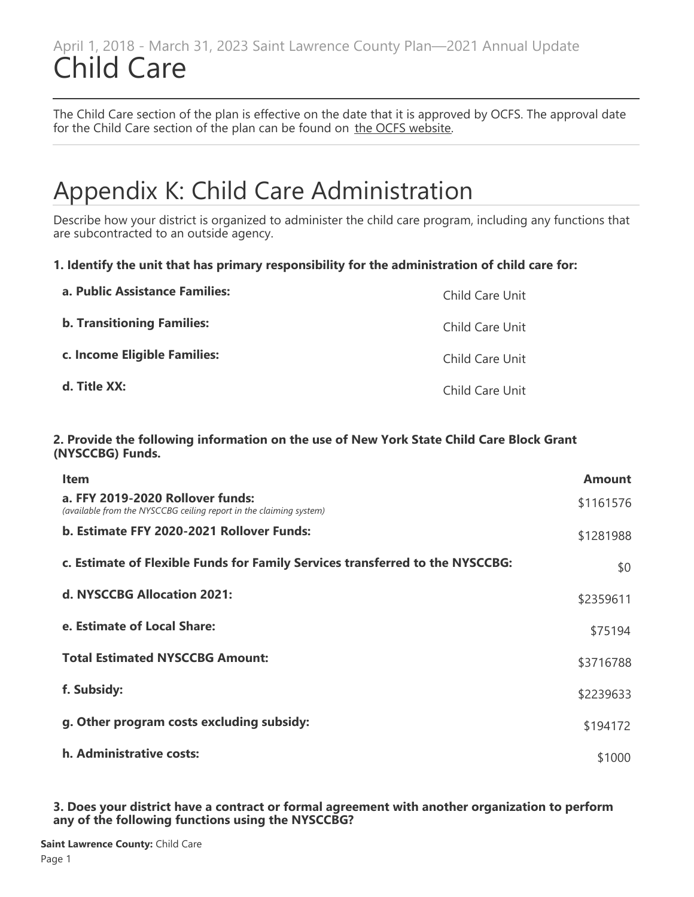### April 1, 2018 - March 31, 2023 Saint Lawrence County Plan—2021 Annual Update Child Care

The Child Care section of the plan is effective on the date that it is approved by OCFS. The approval date for the Child Care section of the plan can be found on [the OCFS website](https://ocfs.ny.gov/programs/childcare/plans/).

# Appendix K: Child Care Administration

Describe how your district is organized to administer the child care program, including any functions that are subcontracted to an outside agency.

### **1. Identify the unit that has primary responsibility for the administration of child care for:**

| a. Public Assistance Families:    | Child Care Unit |
|-----------------------------------|-----------------|
| <b>b. Transitioning Families:</b> | Child Care Unit |
| c. Income Eligible Families:      | Child Care Unit |
| d. Title XX:                      | Child Care Unit |

#### **2. Provide the following information on the use of New York State Child Care Block Grant (NYSCCBG) Funds.**

| <b>Item</b>                                                                                            | <b>Amount</b> |
|--------------------------------------------------------------------------------------------------------|---------------|
| a. FFY 2019-2020 Rollover funds:<br>(available from the NYSCCBG ceiling report in the claiming system) | \$1161576     |
| b. Estimate FFY 2020-2021 Rollover Funds:                                                              | \$1281988     |
| c. Estimate of Flexible Funds for Family Services transferred to the NYSCCBG:                          | \$0           |
| d. NYSCCBG Allocation 2021:                                                                            | \$2359611     |
| e. Estimate of Local Share:                                                                            | \$75194       |
| <b>Total Estimated NYSCCBG Amount:</b>                                                                 | \$3716788     |
| f. Subsidy:                                                                                            | \$2239633     |
| g. Other program costs excluding subsidy:                                                              | \$194172      |
| h. Administrative costs:                                                                               | \$1000        |

**3. Does your district have a contract or formal agreement with another organization to perform any of the following functions using the NYSCCBG?**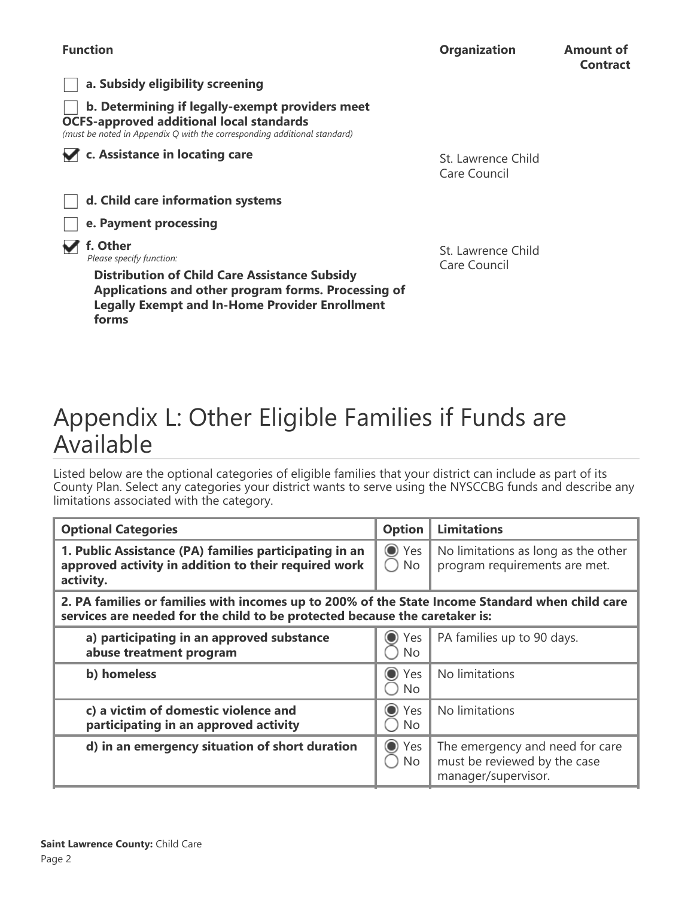

St. Lawrence Child Care Council

# Appendix L: Other Eligible Families if Funds are Available

Listed below are the optional categories of eligible families that your district can include as part of its County Plan. Select any categories your district wants to serve using the NYSCCBG funds and describe any limitations associated with the category.

| <b>Optional Categories</b>                                                                                                                                                     | <b>Option</b>               | <b>Limitations</b>                                                                     |  |  |  |  |  |
|--------------------------------------------------------------------------------------------------------------------------------------------------------------------------------|-----------------------------|----------------------------------------------------------------------------------------|--|--|--|--|--|
| 1. Public Assistance (PA) families participating in an<br>approved activity in addition to their required work<br>activity.                                                    | ◯ Yes<br>$\bigcirc$ No      | No limitations as long as the other<br>program requirements are met.                   |  |  |  |  |  |
| 2. PA families or families with incomes up to 200% of the State Income Standard when child care<br>services are needed for the child to be protected because the caretaker is: |                             |                                                                                        |  |  |  |  |  |
| a) participating in an approved substance<br>abuse treatment program                                                                                                           | $\odot$<br>Yes<br><b>No</b> | PA families up to 90 days.                                                             |  |  |  |  |  |
| b) homeless                                                                                                                                                                    | ● Yes<br><b>No</b>          | No limitations                                                                         |  |  |  |  |  |
| c) a victim of domestic violence and<br>participating in an approved activity                                                                                                  | ◯ Yes<br><b>No</b>          | No limitations                                                                         |  |  |  |  |  |
| d) in an emergency situation of short duration                                                                                                                                 | ◯ Yes<br>No                 | The emergency and need for care<br>must be reviewed by the case<br>manager/supervisor. |  |  |  |  |  |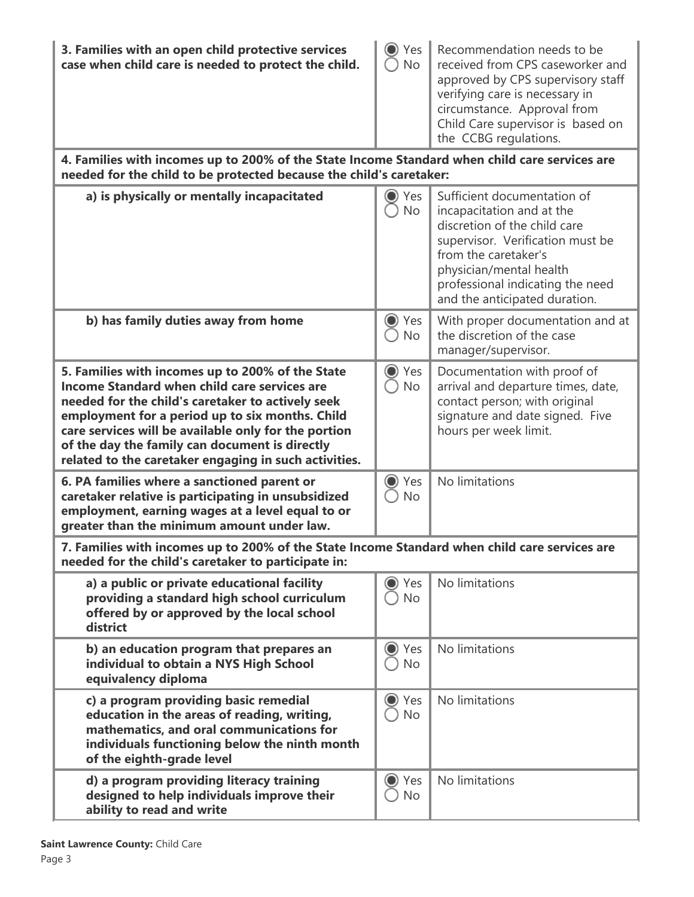| 3. Families with an open child protective services<br>case when child care is needed to protect the child.                                                                                                                                                                                                                                                                  | Yes<br>$\bigcirc$<br><b>No</b>   | Recommendation needs to be<br>received from CPS caseworker and<br>approved by CPS supervisory staff<br>verifying care is necessary in<br>circumstance. Approval from<br>Child Care supervisor is based on<br>the CCBG regulations.                   |
|-----------------------------------------------------------------------------------------------------------------------------------------------------------------------------------------------------------------------------------------------------------------------------------------------------------------------------------------------------------------------------|----------------------------------|------------------------------------------------------------------------------------------------------------------------------------------------------------------------------------------------------------------------------------------------------|
| 4. Families with incomes up to 200% of the State Income Standard when child care services are<br>needed for the child to be protected because the child's caretaker:                                                                                                                                                                                                        |                                  |                                                                                                                                                                                                                                                      |
| a) is physically or mentally incapacitated                                                                                                                                                                                                                                                                                                                                  | Yes<br>$_{\bullet}$<br><b>No</b> | Sufficient documentation of<br>incapacitation and at the<br>discretion of the child care<br>supervisor. Verification must be<br>from the caretaker's<br>physician/mental health<br>professional indicating the need<br>and the anticipated duration. |
| b) has family duties away from home                                                                                                                                                                                                                                                                                                                                         | $\rm{O}$<br>Yes<br><b>No</b>     | With proper documentation and at<br>the discretion of the case<br>manager/supervisor.                                                                                                                                                                |
| 5. Families with incomes up to 200% of the State<br>Income Standard when child care services are<br>needed for the child's caretaker to actively seek<br>employment for a period up to six months. Child<br>care services will be available only for the portion<br>of the day the family can document is directly<br>related to the caretaker engaging in such activities. | $\bigcirc$<br>Yes<br><b>No</b>   | Documentation with proof of<br>arrival and departure times, date,<br>contact person; with original<br>signature and date signed. Five<br>hours per week limit.                                                                                       |
| 6. PA families where a sanctioned parent or<br>caretaker relative is participating in unsubsidized<br>employment, earning wages at a level equal to or<br>greater than the minimum amount under law.                                                                                                                                                                        | Yes<br>O<br><b>No</b>            | No limitations                                                                                                                                                                                                                                       |
| 7. Families with incomes up to 200% of the State Income Standard when child care services are<br>needed for the child's caretaker to participate in:                                                                                                                                                                                                                        |                                  |                                                                                                                                                                                                                                                      |
| a) a public or private educational facility<br>providing a standard high school curriculum<br>offered by or approved by the local school<br>district                                                                                                                                                                                                                        | Yes<br>$\bf{O}$<br><b>No</b>     | No limitations                                                                                                                                                                                                                                       |
| b) an education program that prepares an<br>individual to obtain a NYS High School<br>equivalency diploma                                                                                                                                                                                                                                                                   | $\odot$<br>Yes<br><b>No</b>      | No limitations                                                                                                                                                                                                                                       |
| c) a program providing basic remedial<br>education in the areas of reading, writing,<br>mathematics, and oral communications for<br>individuals functioning below the ninth month<br>of the eighth-grade level                                                                                                                                                              | Yes<br>$\bf{O}$<br><b>No</b>     | No limitations                                                                                                                                                                                                                                       |
| d) a program providing literacy training<br>designed to help individuals improve their<br>ability to read and write                                                                                                                                                                                                                                                         | Yes<br>$\bigcirc$<br><b>No</b>   | No limitations                                                                                                                                                                                                                                       |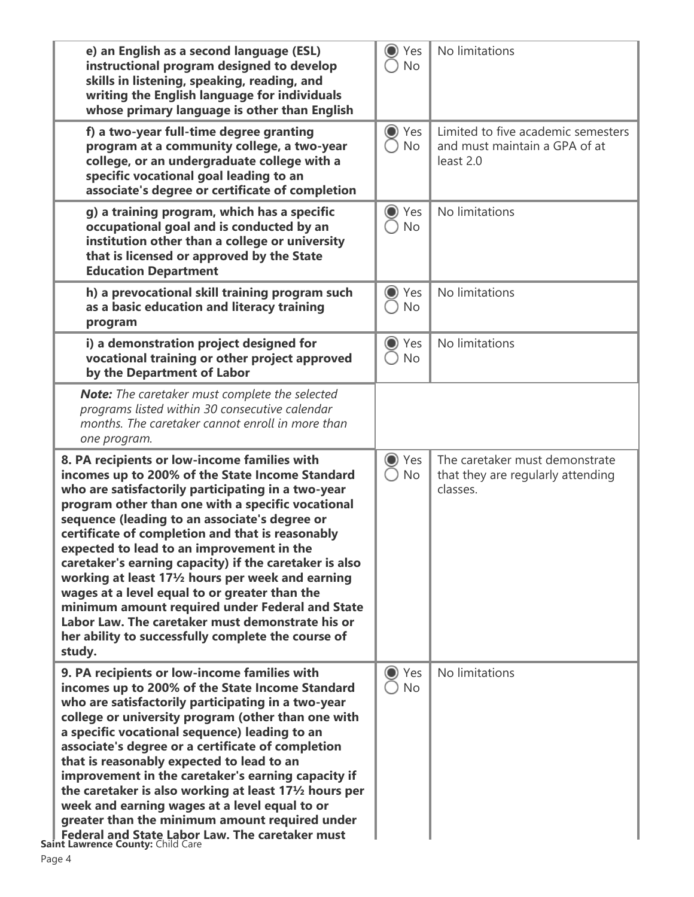| e) an English as a second language (ESL)<br>instructional program designed to develop<br>skills in listening, speaking, reading, and<br>writing the English language for individuals<br>whose primary language is other than English                                                                                                                                                                                                                                                                                                                                                                                                                                                                          | $\odot$<br>Yes<br><b>No</b>    | No limitations                                                                   |
|---------------------------------------------------------------------------------------------------------------------------------------------------------------------------------------------------------------------------------------------------------------------------------------------------------------------------------------------------------------------------------------------------------------------------------------------------------------------------------------------------------------------------------------------------------------------------------------------------------------------------------------------------------------------------------------------------------------|--------------------------------|----------------------------------------------------------------------------------|
| f) a two-year full-time degree granting<br>program at a community college, a two-year<br>college, or an undergraduate college with a<br>specific vocational goal leading to an<br>associate's degree or certificate of completion                                                                                                                                                                                                                                                                                                                                                                                                                                                                             | ◯ Yes<br><b>No</b>             | Limited to five academic semesters<br>and must maintain a GPA of at<br>least 2.0 |
| g) a training program, which has a specific<br>occupational goal and is conducted by an<br>institution other than a college or university<br>that is licensed or approved by the State<br><b>Education Department</b>                                                                                                                                                                                                                                                                                                                                                                                                                                                                                         | Yes<br>$\odot$<br><b>No</b>    | No limitations                                                                   |
| h) a prevocational skill training program such<br>as a basic education and literacy training<br>program                                                                                                                                                                                                                                                                                                                                                                                                                                                                                                                                                                                                       | ◯ Yes<br><b>No</b>             | No limitations                                                                   |
| i) a demonstration project designed for<br>vocational training or other project approved<br>by the Department of Labor                                                                                                                                                                                                                                                                                                                                                                                                                                                                                                                                                                                        | ● Yes<br><b>No</b>             | No limitations                                                                   |
| Note: The caretaker must complete the selected<br>programs listed within 30 consecutive calendar<br>months. The caretaker cannot enroll in more than<br>one program.                                                                                                                                                                                                                                                                                                                                                                                                                                                                                                                                          |                                |                                                                                  |
| 8. PA recipients or low-income families with<br>incomes up to 200% of the State Income Standard<br>who are satisfactorily participating in a two-year<br>program other than one with a specific vocational<br>sequence (leading to an associate's degree or<br>certificate of completion and that is reasonably<br>expected to lead to an improvement in the<br>caretaker's earning capacity) if the caretaker is also<br>working at least $17\frac{1}{2}$ hours per week and earning<br>wages at a level equal to or greater than the<br>minimum amount required under Federal and State<br>Labor Law. The caretaker must demonstrate his or<br>her ability to successfully complete the course of<br>study. | Yes<br>$\odot$<br>No           | The caretaker must demonstrate<br>that they are regularly attending<br>classes.  |
| 9. PA recipients or low-income families with<br>incomes up to 200% of the State Income Standard<br>who are satisfactorily participating in a two-year<br>college or university program (other than one with<br>a specific vocational sequence) leading to an<br>associate's degree or a certificate of completion<br>that is reasonably expected to lead to an<br>improvement in the caretaker's earning capacity if<br>the caretaker is also working at least $17\frac{1}{2}$ hours per<br>week and earning wages at a level equal to or<br>greater than the minimum amount required under<br><b>Federal and State Labor Law. The caretaker must</b><br>Saint Lawrence County: Child Care<br>Page 4          | Yes<br>$\bigcirc$<br><b>No</b> | No limitations                                                                   |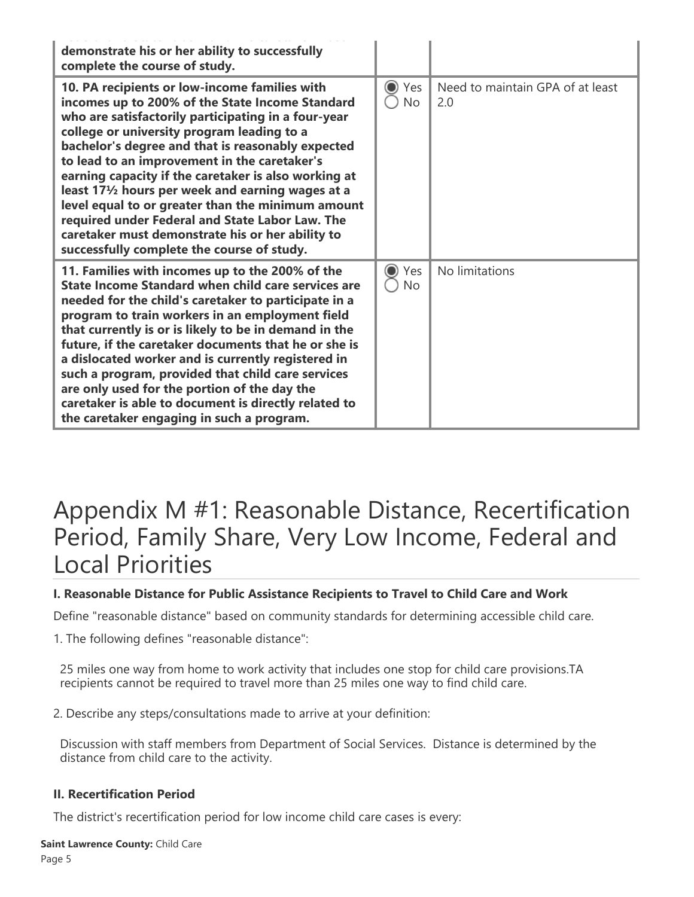| demonstrate his or her ability to successfully<br>complete the course of study.                                                                                                                                                                                                                                                                                                                                                                                                                                                                                                                                                   |                             |                                         |
|-----------------------------------------------------------------------------------------------------------------------------------------------------------------------------------------------------------------------------------------------------------------------------------------------------------------------------------------------------------------------------------------------------------------------------------------------------------------------------------------------------------------------------------------------------------------------------------------------------------------------------------|-----------------------------|-----------------------------------------|
| 10. PA recipients or low-income families with<br>incomes up to 200% of the State Income Standard<br>who are satisfactorily participating in a four-year<br>college or university program leading to a<br>bachelor's degree and that is reasonably expected<br>to lead to an improvement in the caretaker's<br>earning capacity if the caretaker is also working at<br>least 171/2 hours per week and earning wages at a<br>level equal to or greater than the minimum amount<br>required under Federal and State Labor Law. The<br>caretaker must demonstrate his or her ability to<br>successfully complete the course of study. | $\odot$<br>Yes<br><b>No</b> | Need to maintain GPA of at least<br>2.0 |
| 11. Families with incomes up to the 200% of the<br><b>State Income Standard when child care services are</b><br>needed for the child's caretaker to participate in a<br>program to train workers in an employment field<br>that currently is or is likely to be in demand in the<br>future, if the caretaker documents that he or she is<br>a dislocated worker and is currently registered in<br>such a program, provided that child care services<br>are only used for the portion of the day the<br>caretaker is able to document is directly related to<br>the caretaker engaging in such a program.                          | $\odot$<br>Yes<br><b>No</b> | No limitations                          |

# Appendix M #1: Reasonable Distance, Recertification Period, Family Share, Very Low Income, Federal and Local Priorities

### **I. Reasonable Distance for Public Assistance Recipients to Travel to Child Care and Work**

Define "reasonable distance" based on community standards for determining accessible child care.

1. The following defines "reasonable distance":

25 miles one way from home to work activity that includes one stop for child care provisions.TA recipients cannot be required to travel more than 25 miles one way to find child care.

2. Describe any steps/consultations made to arrive at your definition:

Discussion with staff members from Department of Social Services. Distance is determined by the distance from child care to the activity.

### **II. Recertification Period**

The district's recertification period for low income child care cases is every: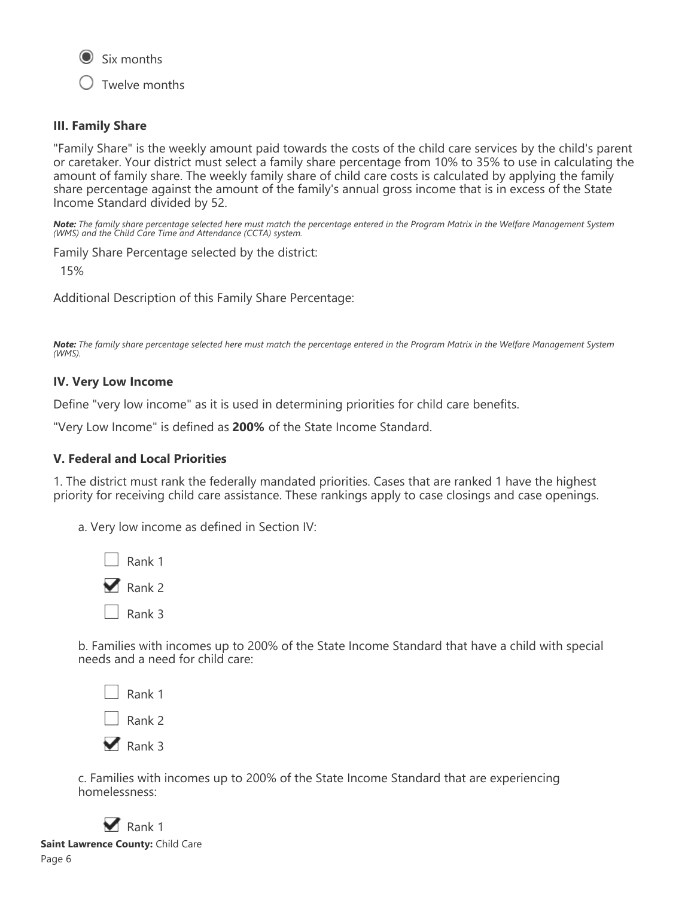

Twelve months

### **III. Family Share**

"Family Share" is the weekly amount paid towards the costs of the child care services by the child's parent or caretaker. Your district must select a family share percentage from 10% to 35% to use in calculating the amount of family share. The weekly family share of child care costs is calculated by applying the family share percentage against the amount of the family's annual gross income that is in excess of the State Income Standard divided by 52.

*Note: The family share percentage selected here must match the percentage entered in the Program Matrix in the Welfare Management System (WMS) and the Child Care Time and Attendance (CCTA) system.*

Family Share Percentage selected by the district:

15%

Additional Description of this Family Share Percentage:

*Note: The family share percentage selected here must match the percentage entered in the Program Matrix in the Welfare Management System (WMS).*

### **IV. Very Low Income**

Define "very low income" as it is used in determining priorities for child care benefits.

"Very Low Income" is defined as **200%** of the State Income Standard.

### **V. Federal and Local Priorities**

1. The district must rank the federally mandated priorities. Cases that are ranked 1 have the highest priority for receiving child care assistance. These rankings apply to case closings and case openings.

a. Very low income as defined in Section IV:

| Rank 1 |
|--------|
| Rank 2 |
| Rank 3 |

b. Families with incomes up to 200% of the State Income Standard that have a child with special needs and a need for child care:

| Rank 1 |
|--------|
| Rank 2 |
| Rank 3 |

c. Families with incomes up to 200% of the State Income Standard that are experiencing homelessness:

 $\blacksquare$  Rank 1 **Saint Lawrence County:** Child Care Page 6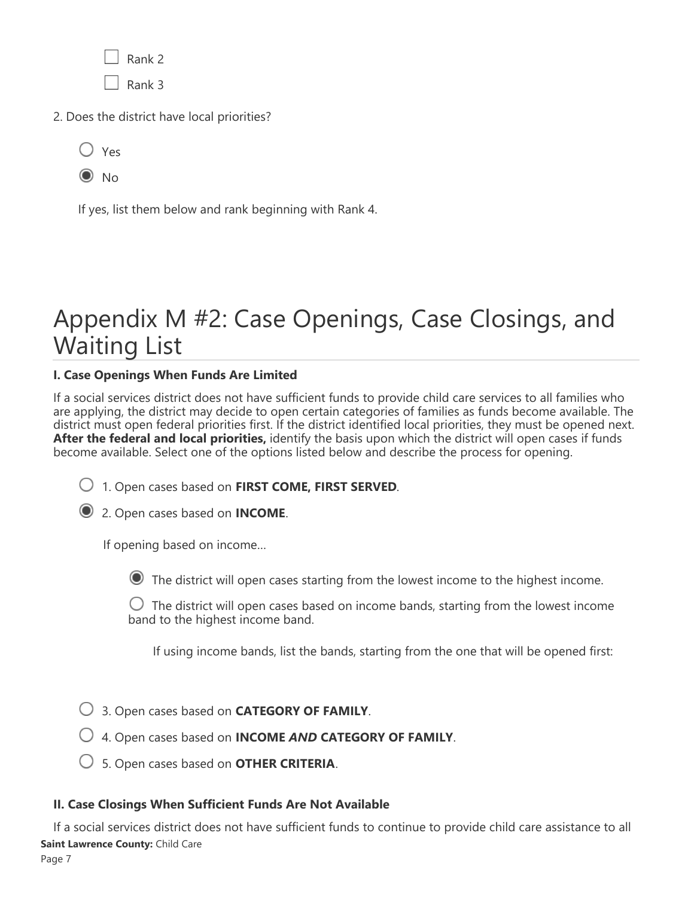Rank 2  $\sqrt{8}$ Rank 3

2. Does the district have local priorities?

| ×<br>v<br>×<br>I |
|------------------|
|                  |

 $\odot$  No

If yes, list them below and rank beginning with Rank 4.

# Appendix M #2: Case Openings, Case Closings, and Waiting List

### **I. Case Openings When Funds Are Limited**

If a social services district does not have sufficient funds to provide child care services to all families who are applying, the district may decide to open certain categories of families as funds become available. The district must open federal priorities first. If the district identified local priorities, they must be opened next. **After the federal and local priorities,** identify the basis upon which the district will open cases if funds become available. Select one of the options listed below and describe the process for opening.

1. Open cases based on **FIRST COME, FIRST SERVED**.



If opening based on income…

The district will open cases starting from the lowest income to the highest income.

 $\bigcirc$  The district will open cases based on income bands, starting from the lowest income band to the highest income band.

If using income bands, list the bands, starting from the one that will be opened first:

- 3. Open cases based on **CATEGORY OF FAMILY**.
- 4. Open cases based on **INCOME** *AND* **CATEGORY OF FAMILY**.
- 5. Open cases based on **OTHER CRITERIA**.

### **II. Case Closings When Sufficient Funds Are Not Available**

If a social services district does not have sufficient funds to continue to provide child care assistance to all **Saint Lawrence County:** Child Care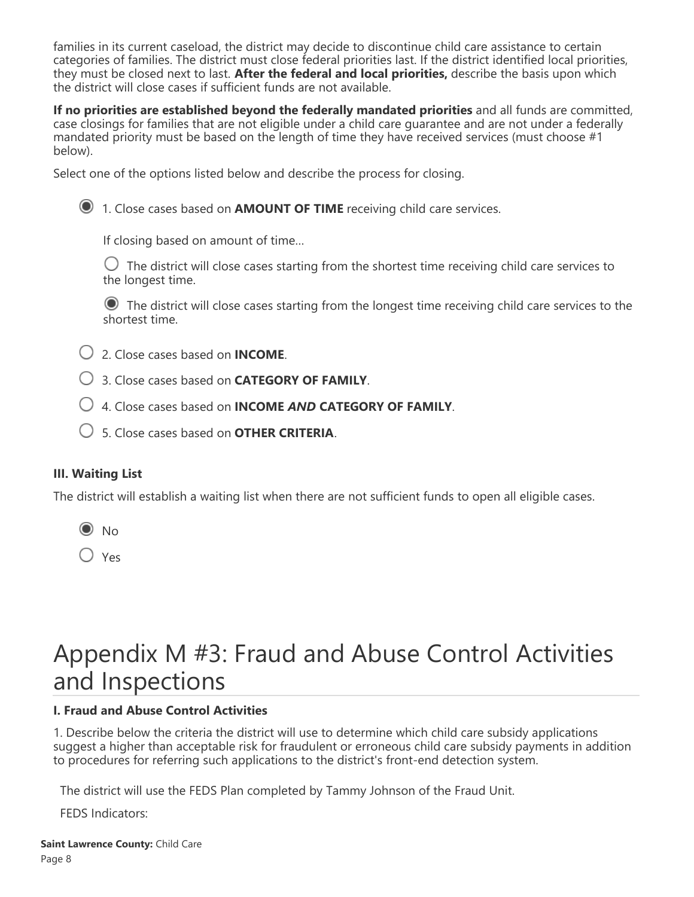families in its current caseload, the district may decide to discontinue child care assistance to certain categories of families. The district must close federal priorities last. If the district identified local priorities, they must be closed next to last. **After the federal and local priorities,** describe the basis upon which the district will close cases if sufficient funds are not available.

**If no priorities are established beyond the federally mandated priorities** and all funds are committed, case closings for families that are not eligible under a child care guarantee and are not under a federally mandated priority must be based on the length of time they have received services (must choose #1 below).

Select one of the options listed below and describe the process for closing.



1. Close cases based on **AMOUNT OF TIME** receiving child care services.

If closing based on amount of time…

 $\bigcirc$  The district will close cases starting from the shortest time receiving child care services to the longest time.

 The district will close cases starting from the longest time receiving child care services to the shortest time.

- 2. Close cases based on **INCOME**.
- 3. Close cases based on **CATEGORY OF FAMILY**.
- 4. Close cases based on **INCOME** *AND* **CATEGORY OF FAMILY**.
- 5. Close cases based on **OTHER CRITERIA**.

### **III. Waiting List**

The district will establish a waiting list when there are not sufficient funds to open all eligible cases.



 $\bigcirc$  Yes

# Appendix M #3: Fraud and Abuse Control Activities and Inspections

### **I. Fraud and Abuse Control Activities**

1. Describe below the criteria the district will use to determine which child care subsidy applications suggest a higher than acceptable risk for fraudulent or erroneous child care subsidy payments in addition to procedures for referring such applications to the district's front-end detection system.

The district will use the FEDS Plan completed by Tammy Johnson of the Fraud Unit.

FEDS Indicators: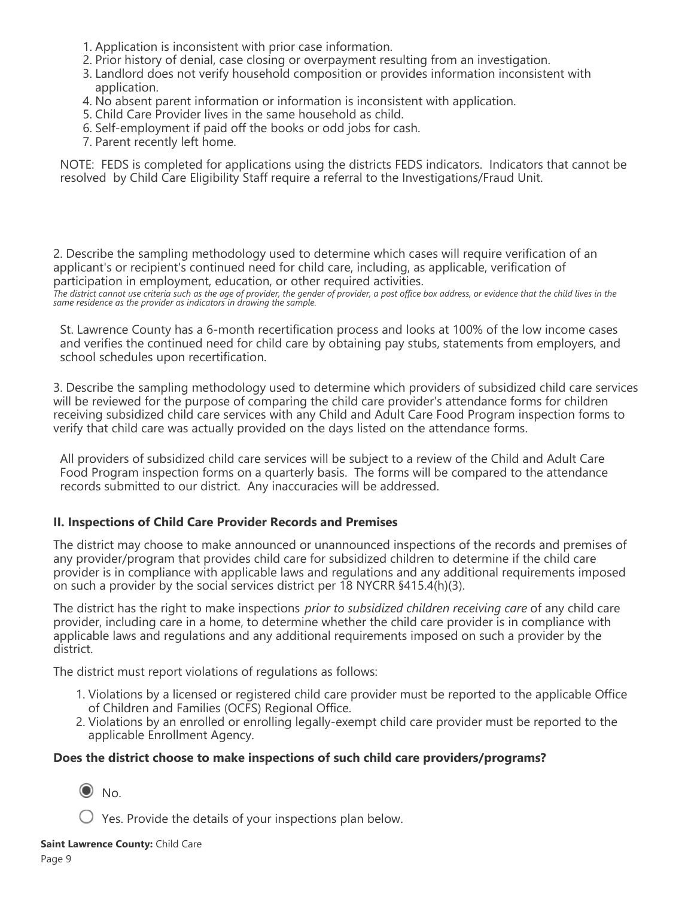- 1. Application is inconsistent with prior case information.
- 2. Prior history of denial, case closing or overpayment resulting from an investigation.
- 3. Landlord does not verify household composition or provides information inconsistent with application.
- 4. No absent parent information or information is inconsistent with application.
- 5. Child Care Provider lives in the same household as child.
- 6. Self-employment if paid off the books or odd jobs for cash.
- 7. Parent recently left home.

NOTE: FEDS is completed for applications using the districts FEDS indicators. Indicators that cannot be resolved by Child Care Eligibility Staff require a referral to the Investigations/Fraud Unit.

2. Describe the sampling methodology used to determine which cases will require verification of an applicant's or recipient's continued need for child care, including, as applicable, verification of participation in employment, education, or other required activities.

*The district cannot use criteria such as the age of provider, the gender of provider, a post office box address, or evidence that the child lives in the same residence as the provider as indicators in drawing the sample.*

St. Lawrence County has a 6-month recertification process and looks at 100% of the low income cases and verifies the continued need for child care by obtaining pay stubs, statements from employers, and school schedules upon recertification.

3. Describe the sampling methodology used to determine which providers of subsidized child care services will be reviewed for the purpose of comparing the child care provider's attendance forms for children receiving subsidized child care services with any Child and Adult Care Food Program inspection forms to verify that child care was actually provided on the days listed on the attendance forms.

All providers of subsidized child care services will be subject to a review of the Child and Adult Care Food Program inspection forms on a quarterly basis. The forms will be compared to the attendance records submitted to our district. Any inaccuracies will be addressed.

### **II. Inspections of Child Care Provider Records and Premises**

The district may choose to make announced or unannounced inspections of the records and premises of any provider/program that provides child care for subsidized children to determine if the child care provider is in compliance with applicable laws and regulations and any additional requirements imposed on such a provider by the social services district per 18 NYCRR §415.4(h)(3).

The district has the right to make inspections *prior to subsidized children receiving care* of any child care provider, including care in a home, to determine whether the child care provider is in compliance with applicable laws and regulations and any additional requirements imposed on such a provider by the district.

The district must report violations of regulations as follows:

- 1. Violations by a licensed or registered child care provider must be reported to the applicable Office of Children and Families (OCFS) Regional Office.
- 2. Violations by an enrolled or enrolling legally-exempt child care provider must be reported to the applicable Enrollment Agency.

### **Does the district choose to make inspections of such child care providers/programs?**

 $\odot$  No.

 $\bigcup$  Yes. Provide the details of your inspections plan below.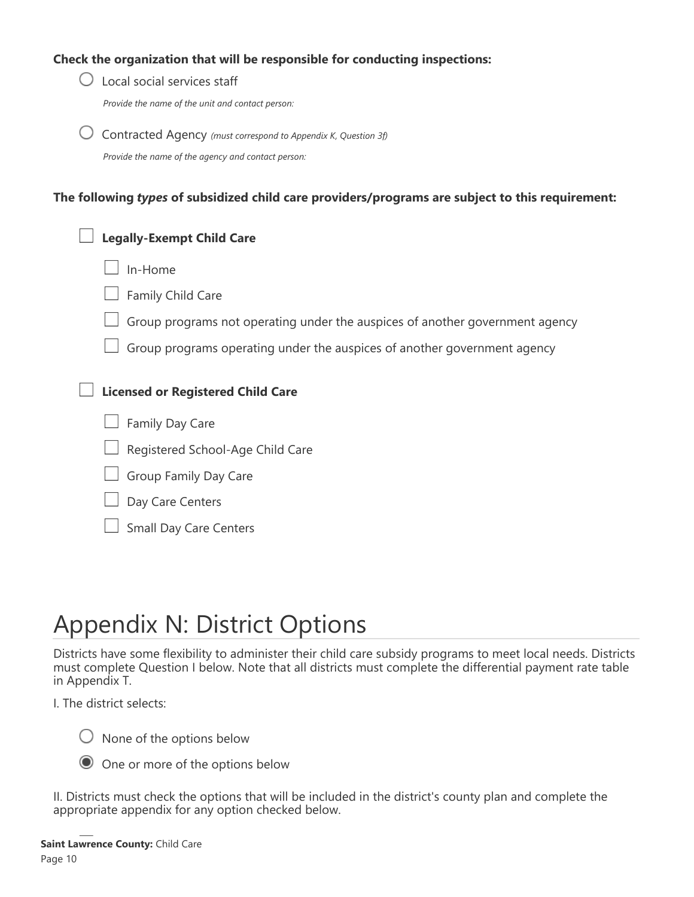### **Check the organization that will be responsible for conducting inspections:**

| Local social services staff                                                                      |
|--------------------------------------------------------------------------------------------------|
| Provide the name of the unit and contact person:                                                 |
| Contracted Agency (must correspond to Appendix K, Question 3f)                                   |
| Provide the name of the agency and contact person:                                               |
| The following types of subsidized child care providers/programs are subject to this requirement: |
| <b>Legally-Exempt Child Care</b>                                                                 |
| In-Home                                                                                          |
| Family Child Care                                                                                |
| Group programs not operating under the auspices of another government agency                     |
| Group programs operating under the auspices of another government agency                         |
| <b>Licensed or Registered Child Care</b>                                                         |
| Family Day Care                                                                                  |
| Registered School-Age Child Care                                                                 |
| Group Family Day Care                                                                            |
| Day Care Centers                                                                                 |
|                                                                                                  |

### Small Day Care Centers

# Appendix N: District Options

Districts have some flexibility to administer their child care subsidy programs to meet local needs. Districts must complete Question I below. Note that all districts must complete the differential payment rate table in Appendix T.

I. The district selects:

 $\bigcirc$  None of the options below

One or more of the options below

II. Districts must check the options that will be included in the district's county plan and complete the appropriate appendix for any option checked below.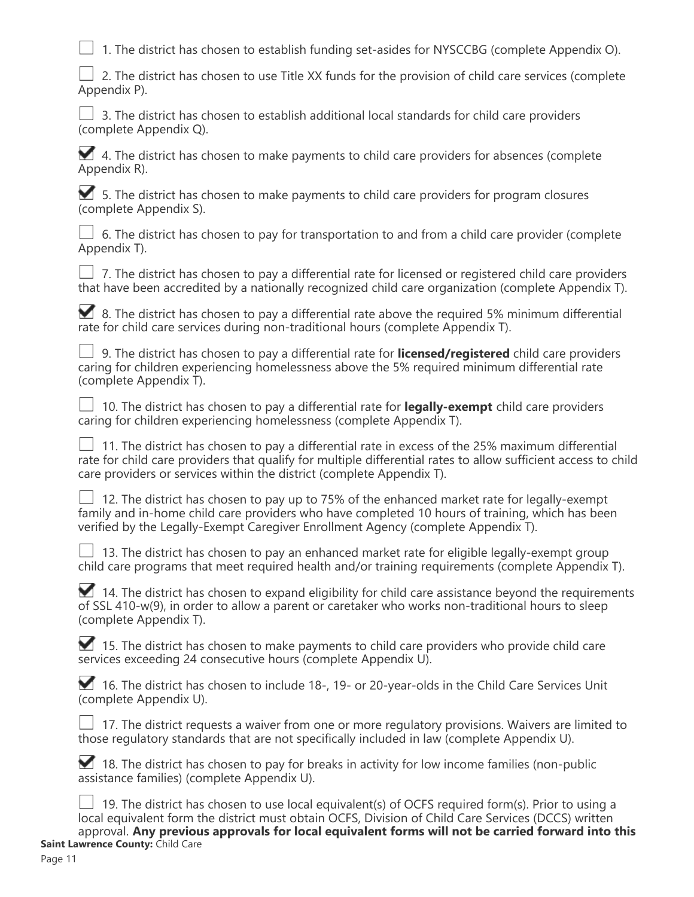$\Box$  1. The district has chosen to establish funding set-asides for NYSCCBG (complete Appendix O).

| $\Box$ 2. The district has chosen to use Title XX funds for the provision of child care services (complete |  |  |
|------------------------------------------------------------------------------------------------------------|--|--|
| Appendix P).                                                                                               |  |  |

|  |                        |  |  |  |  |  |  | $\Box$ 3. The district has chosen to establish additional local standards for child care providers |  |  |  |  |
|--|------------------------|--|--|--|--|--|--|----------------------------------------------------------------------------------------------------|--|--|--|--|
|  | (complete Appendix Q). |  |  |  |  |  |  |                                                                                                    |  |  |  |  |

 $\blacktriangleright$  4. The district has chosen to make payments to child care providers for absences (complete Appendix R).

 5. The district has chosen to make payments to child care providers for program closures (complete Appendix S).

 $\Box$  6. The district has chosen to pay for transportation to and from a child care provider (complete Appendix T).

|  |  |  | $\Box$ 7. The district has chosen to pay a differential rate for licensed or registered child care providers |  |
|--|--|--|--------------------------------------------------------------------------------------------------------------|--|
|  |  |  | that have been accredited by a nationally recognized child care organization (complete Appendix T).          |  |

|  | ■ 8. The district has chosen to pay a differential rate above the required 5% minimum differential |  |
|--|----------------------------------------------------------------------------------------------------|--|
|  | rate for child care services during non-traditional hours (complete Appendix T).                   |  |

|  |                        |  |  |  | □ 9. The district has chosen to pay a differential rate for <b>licensed/registered</b> child care providers |  |  |
|--|------------------------|--|--|--|-------------------------------------------------------------------------------------------------------------|--|--|
|  |                        |  |  |  | caring for children experiencing homelessness above the 5% required minimum differential rate               |  |  |
|  | (complete Appendix T). |  |  |  |                                                                                                             |  |  |

|  |  |                                                                      |  | $\Box$ 10. The district has chosen to pay a differential rate for <b>legally-exempt</b> child care providers |  |
|--|--|----------------------------------------------------------------------|--|--------------------------------------------------------------------------------------------------------------|--|
|  |  | caring for children experiencing homelessness (complete Appendix T). |  |                                                                                                              |  |

| $\Box$ 11. The district has chosen to pay a differential rate in excess of the 25% maximum differential        |
|----------------------------------------------------------------------------------------------------------------|
| rate for child care providers that qualify for multiple differential rates to allow sufficient access to child |
| care providers or services within the district (complete Appendix T).                                          |

| $\Box$ 12. The district has chosen to pay up to 75% of the enhanced market rate for legally-exempt |
|----------------------------------------------------------------------------------------------------|
| family and in-home child care providers who have completed 10 hours of training, which has been    |
| verified by the Legally-Exempt Caregiver Enrollment Agency (complete Appendix T).                  |

| $\Box$ 13. The district has chosen to pay an enhanced market rate for eligible legally-exempt group |  |  |  |
|-----------------------------------------------------------------------------------------------------|--|--|--|
| child care programs that meet required health and/or training requirements (complete Appendix T).   |  |  |  |

|  |  |                        | 14. The district has chosen to expand eligibility for child care assistance beyond the requirements |  |  |  |  |  |  |
|--|--|------------------------|-----------------------------------------------------------------------------------------------------|--|--|--|--|--|--|
|  |  |                        | of SSL 410-w(9), in order to allow a parent or caretaker who works non-traditional hours to sleep   |  |  |  |  |  |  |
|  |  | (complete Appendix T). |                                                                                                     |  |  |  |  |  |  |

 15. The district has chosen to make payments to child care providers who provide child care services exceeding 24 consecutive hours (complete Appendix U).

|  |  |                        | 16. The district has chosen to include 18-, 19- or 20-year-olds in the Child Care Services Unit |  |  |  |  |  |  |
|--|--|------------------------|-------------------------------------------------------------------------------------------------|--|--|--|--|--|--|
|  |  | (complete Appendix U). |                                                                                                 |  |  |  |  |  |  |

|  | $\Box$ 17. The district requests a waiver from one or more regulatory provisions. Waivers are limited to |  |  |  |
|--|----------------------------------------------------------------------------------------------------------|--|--|--|
|  | those regulatory standards that are not specifically included in law (complete Appendix U).              |  |  |  |

| 18. The district has chosen to pay for breaks in activity for low income families (non-public |
|-----------------------------------------------------------------------------------------------|
| assistance families) (complete Appendix U).                                                   |

| $\Box$ 19. The district has chosen to use local equivalent(s) of OCFS required form(s). Prior to using a |
|----------------------------------------------------------------------------------------------------------|
| local equivalent form the district must obtain OCFS, Division of Child Care Services (DCCS) written      |
| approval. Any previous approvals for local equivalent forms will not be carried forward into this        |
| <b>Saint Lawrence County: Child Care</b>                                                                 |
|                                                                                                          |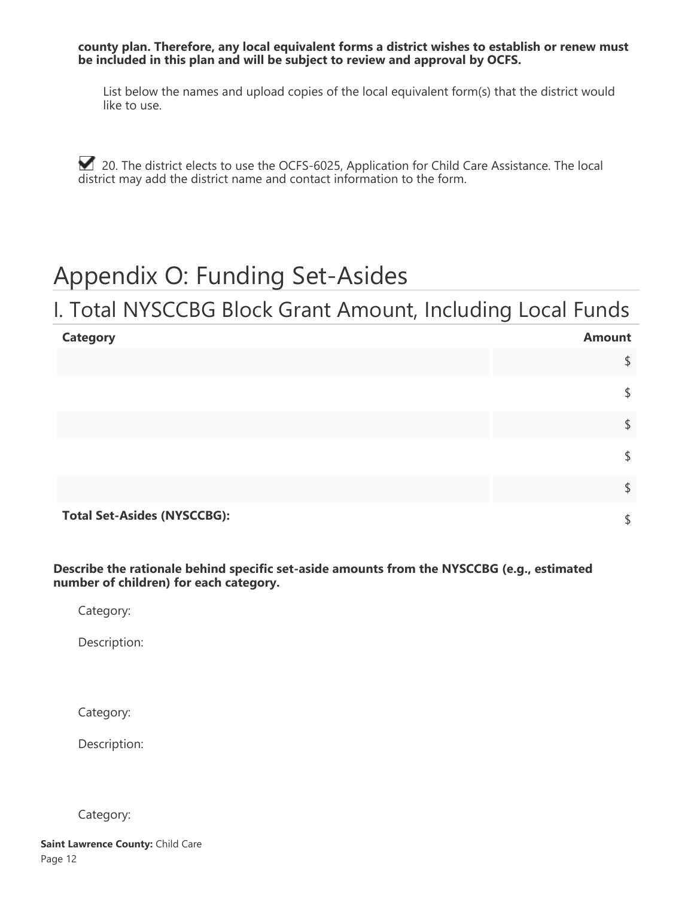**county plan. Therefore, any local equivalent forms a district wishes to establish or renew must be included in this plan and will be subject to review and approval by OCFS.**

List below the names and upload copies of the local equivalent form(s) that the district would like to use.

20. The district elects to use the OCFS-6025, Application for Child Care Assistance. The local district may add the district name and contact information to the form.

# Appendix O: Funding Set-Asides

### I. Total NYSCCBG Block Grant Amount, Including Local Funds

| <b>Category</b>                    | <b>Amount</b> |
|------------------------------------|---------------|
|                                    | \$            |
|                                    | \$            |
|                                    | \$            |
|                                    | \$            |
|                                    | \$            |
| <b>Total Set-Asides (NYSCCBG):</b> | C             |

**Describe the rationale behind specific set-aside amounts from the NYSCCBG (e.g., estimated number of children) for each category.**

Category:

Description:

Category:

Description:

Category: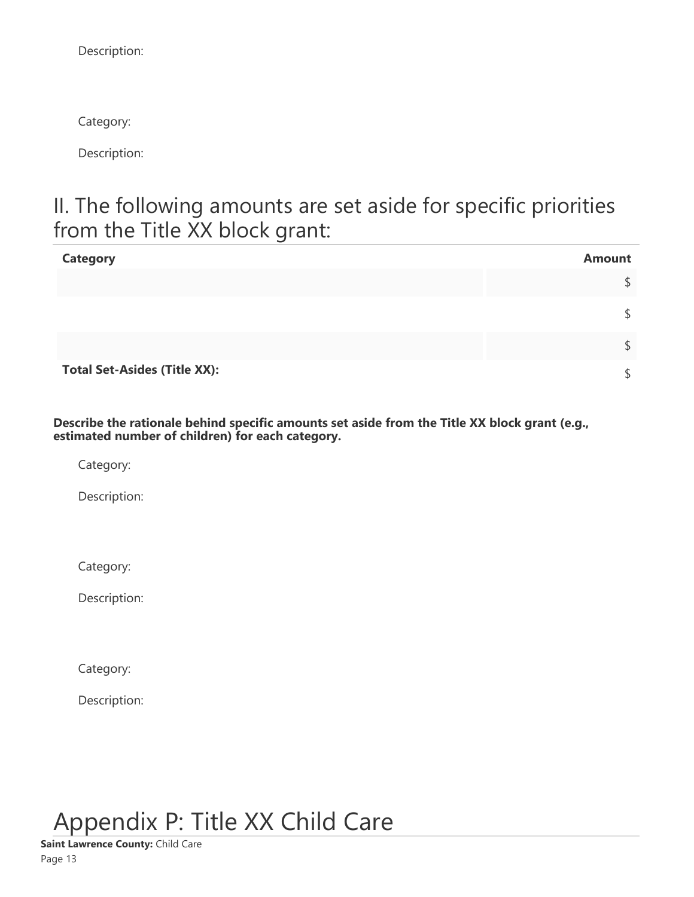Description:

Category:

Description:

## II. The following amounts are set aside for specific priorities from the Title XX block grant:

| <b>Category</b>                     | <b>Amount</b> |
|-------------------------------------|---------------|
|                                     |               |
|                                     |               |
|                                     |               |
| <b>Total Set-Asides (Title XX):</b> |               |

**Describe the rationale behind specific amounts set aside from the Title XX block grant (e.g., estimated number of children) for each category.**

Category:

Description:

Category:

Description:

Category:

Description:

Appendix P: Title XX Child Care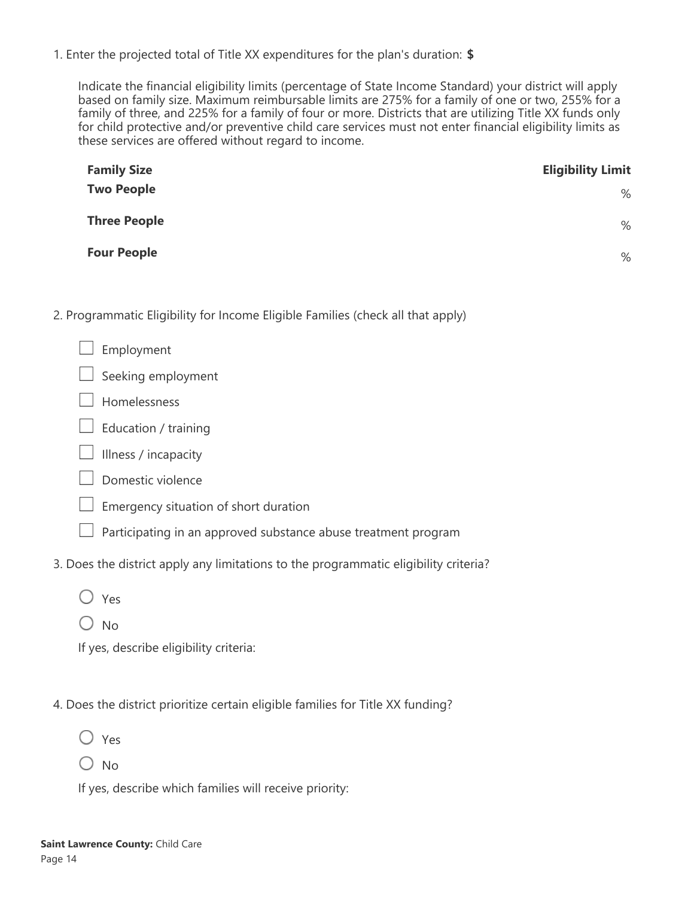1. Enter the projected total of Title XX expenditures for the plan's duration: **\$**

Indicate the financial eligibility limits (percentage of State Income Standard) your district will apply based on family size. Maximum reimbursable limits are 275% for a family of one or two, 255% for a family of three, and 225% for a family of four or more. Districts that are utilizing Title XX funds only for child protective and/or preventive child care services must not enter financial eligibility limits as these services are offered without regard to income.

| <b>Family Size</b>  | <b>Eligibility Limit</b> |
|---------------------|--------------------------|
| <b>Two People</b>   | $\%$                     |
| <b>Three People</b> | %                        |
| <b>Four People</b>  | %                        |

- 2. Programmatic Eligibility for Income Eligible Families (check all that apply)
	- Employment
	- Seeking employment
	- Homelessness
	- Education / training
	- $\Box$  Illness / incapacity
	- $\Box$  Domestic violence
	- $\Box$  Emergency situation of short duration
	- $\Box$  Participating in an approved substance abuse treatment program
- 3. Does the district apply any limitations to the programmatic eligibility criteria?
	- Yes
	- $O$  No

If yes, describe eligibility criteria:

- 4. Does the district prioritize certain eligible families for Title XX funding?
	- $\bigcirc$  Yes
	- $\bigcirc$  No

If yes, describe which families will receive priority: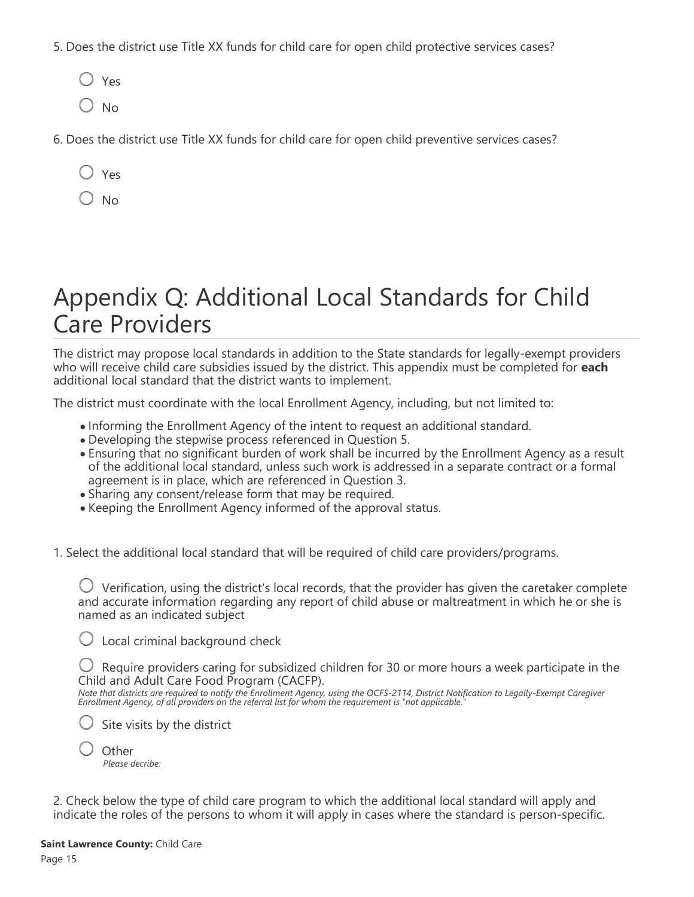- 5. Does the district use Title XX funds for child care for open child protective services cases?
	- $\bigcirc$  Yes
	- $\bigcirc$  No
- 6. Does the district use Title XX funds for child care for open child preventive services cases?
	- Yes
	- $\sum_{n=1}^{\infty}$

# Appendix Q: Additional Local Standards for Child Care Providers

The district may propose local standards in addition to the State standards for legally-exempt providers who will receive child care subsidies issued by the district. This appendix must be completed for **each** additional local standard that the district wants to implement.

The district must coordinate with the local Enrollment Agency, including, but not limited to:

- Informing the Enrollment Agency of the intent to request an additional standard.
- Developing the stepwise process referenced in Question 5.
- Ensuring that no significant burden of work shall be incurred by the Enrollment Agency as a result of the additional local standard, unless such work is addressed in a separate contract or a formal agreement is in place, which are referenced in Question 3.
- Sharing any consent/release form that may be required.
- Keeping the Enrollment Agency informed of the approval status.

1. Select the additional local standard that will be required of child care providers/programs.

 $\bigcup$  Verification, using the district's local records, that the provider has given the caretaker complete and accurate information regarding any report of child abuse or maltreatment in which he or she is named as an indicated subject

 $\bigcirc$  Local criminal background check

 $\bigcirc$  Require providers caring for subsidized children for 30 or more hours a week participate in the Child and Adult Care Food Program (CACFP).

*Note that districts are required to notify the Enrollment Agency, using the OCFS-2114, District Notification to Legally-Exempt Caregiver Enrollment Agency, of all providers on the referral list for whom the requirement is "not applicable."*

 $\bigcirc$  Site visits by the district

| Other           |
|-----------------|
| Please decribe: |

2. Check below the type of child care program to which the additional local standard will apply and indicate the roles of the persons to whom it will apply in cases where the standard is person-specific.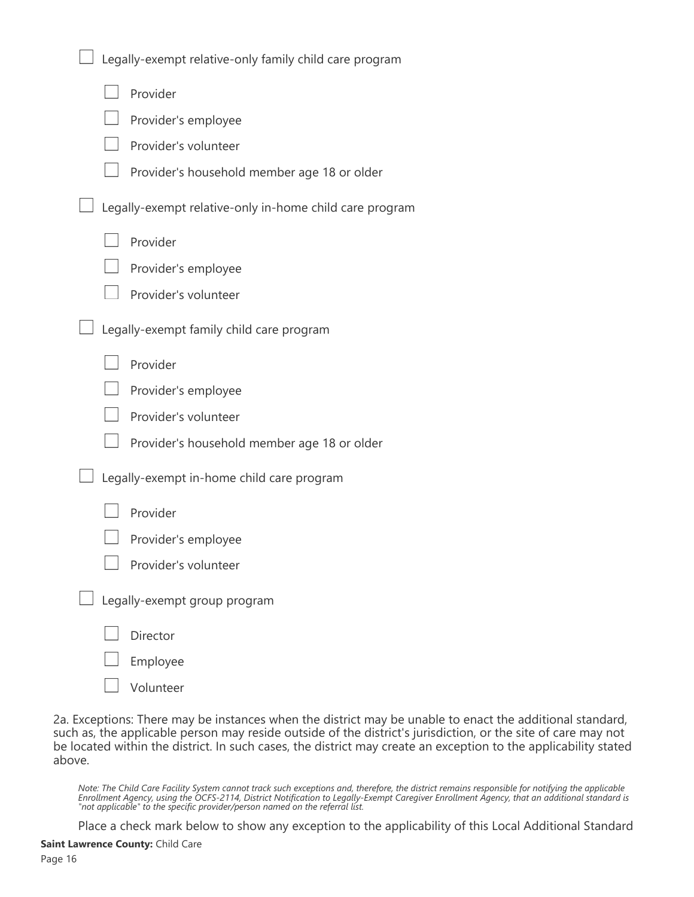| Legally-exempt relative-only family child care program  |
|---------------------------------------------------------|
| Provider                                                |
| Provider's employee                                     |
| Provider's volunteer                                    |
| Provider's household member age 18 or older             |
| Legally-exempt relative-only in-home child care program |
| Provider                                                |
| Provider's employee                                     |
| Provider's volunteer                                    |
| Legally-exempt family child care program                |
| Provider                                                |
| Provider's employee                                     |
| Provider's volunteer                                    |
| Provider's household member age 18 or older             |
| Legally-exempt in-home child care program               |
| Provider                                                |
| Provider's employee                                     |
| Provider's volunteer                                    |
| Legally-exempt group program                            |
| Director                                                |
| Employee                                                |
| Volunteer                                               |

2a. Exceptions: There may be instances when the district may be unable to enact the additional standard, such as, the applicable person may reside outside of the district's jurisdiction, or the site of care may not be located within the district. In such cases, the district may create an exception to the applicability stated above.

*Note: The Child Care Facility System cannot track such exceptions and, therefore, the district remains responsible for notifying the applicable Enrollment Agency, using the OCFS-2114, District Notification to Legally-Exempt Caregiver Enrollment Agency, that an additional standard is "not applicable" to the specific provider/person named on the referral list.*

Place a check mark below to show any exception to the applicability of this Local Additional Standard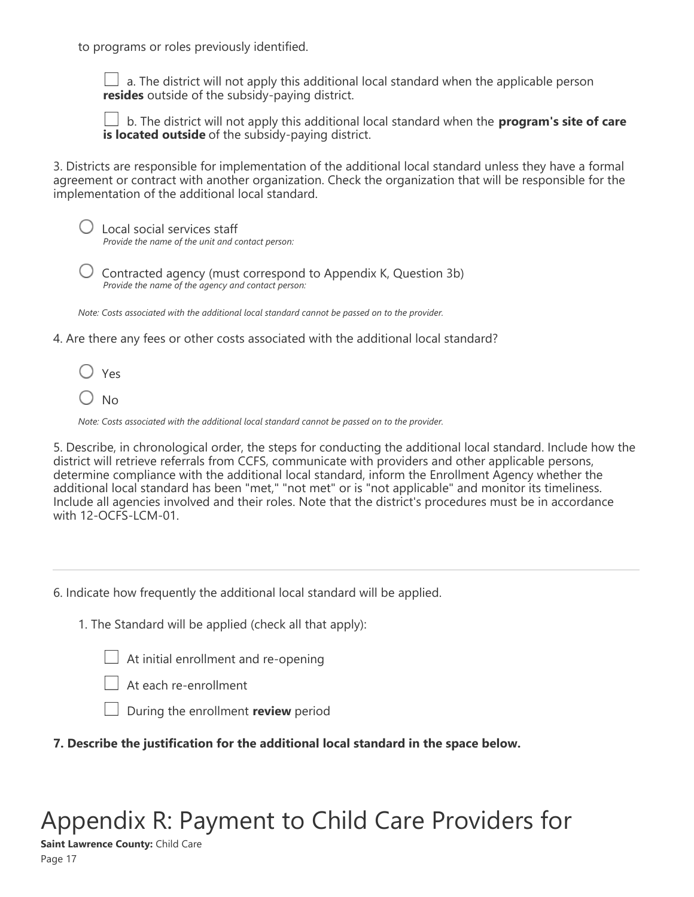to programs or roles previously identified.

 $\perp$  a. The district will not apply this additional local standard when the applicable person **resides** outside of the subsidy-paying district.

 b. The district will not apply this additional local standard when the **program's site of care is located outside** of the subsidy-paying district.

3. Districts are responsible for implementation of the additional local standard unless they have a formal agreement or contract with another organization. Check the organization that will be responsible for the implementation of the additional local standard.

| $\bigcirc$ Local social services staff           |
|--------------------------------------------------|
| Provide the name of the unit and contact person: |

 Contracted agency (must correspond to Appendix K, Question 3b) *Provide the name of the agency and contact person:*

*Note: Costs associated with the additional local standard cannot be passed on to the provider.*

4. Are there any fees or other costs associated with the additional local standard?

 $\bigcirc$  Yes

 $O$  No

*Note: Costs associated with the additional local standard cannot be passed on to the provider.*

5. Describe, in chronological order, the steps for conducting the additional local standard. Include how the district will retrieve referrals from CCFS, communicate with providers and other applicable persons, determine compliance with the additional local standard, inform the Enrollment Agency whether the additional local standard has been "met," "not met" or is "not applicable" and monitor its timeliness. Include all agencies involved and their roles. Note that the district's procedures must be in accordance with 12-OCFS-LCM-01.

6. Indicate how frequently the additional local standard will be applied.

1. The Standard will be applied (check all that apply):

 $\Box$  At initial enrollment and re-opening



At each re-enrollment

During the enrollment **review** period

**7. Describe the justification for the additional local standard in the space below.**

# Appendix R: Payment to Child Care Providers for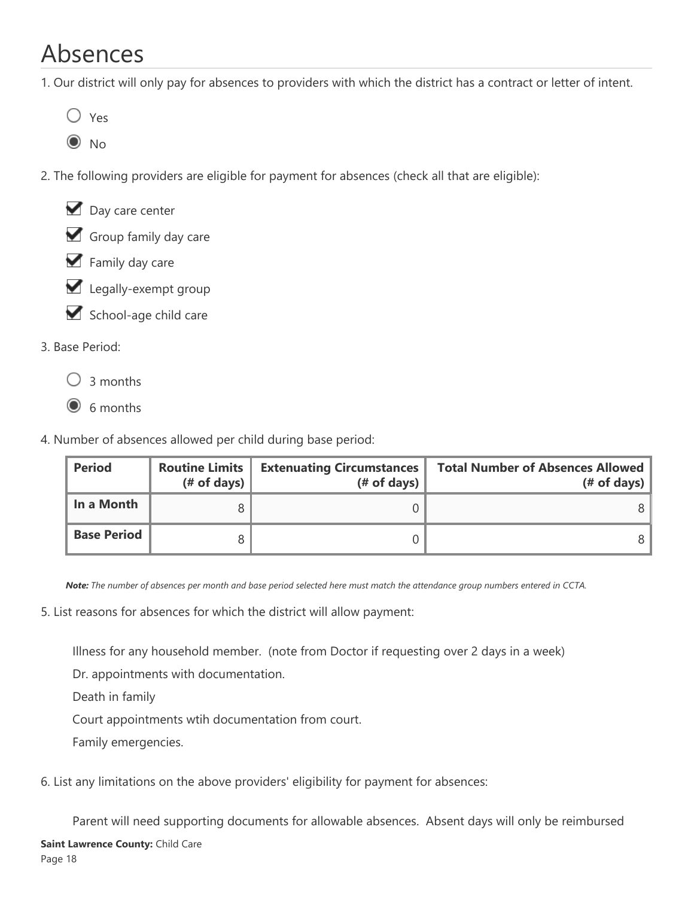# Absences

1. Our district will only pay for absences to providers with which the district has a contract or letter of intent.

- $\bigcirc$  Yes
- $\odot$  No
- 2. The following providers are eligible for payment for absences (check all that are eligible):



- Family day care
- Legally-exempt group
- School-age child care

### 3. Base Period:

- $\bigcirc$  3 months
- $\odot$  6 months
- 4. Number of absences allowed per child during base period:

| <b>Period</b>      | <b>Routine Limits</b><br>$#$ of days) | <b>Extenuating Circumstances</b><br>$#$ of days) | <b>Total Number of Absences Allowed</b><br>$#$ of days) |
|--------------------|---------------------------------------|--------------------------------------------------|---------------------------------------------------------|
| In a Month         |                                       |                                                  |                                                         |
| <b>Base Period</b> |                                       |                                                  |                                                         |

*Note: The number of absences per month and base period selected here must match the attendance group numbers entered in CCTA.*

5. List reasons for absences for which the district will allow payment:

Illness for any household member. (note from Doctor if requesting over 2 days in a week)

Dr. appointments with documentation.

Death in family

Court appointments wtih documentation from court.

Family emergencies.

6. List any limitations on the above providers' eligibility for payment for absences:

Parent will need supporting documents for allowable absences. Absent days will only be reimbursed

 $\blacksquare$  is scheduled to be at work/day. Payment for absent days will not be allowed days will not be allowed days will not be allowed days will not be allowed days will not be allowed days will not be allowed days will not **Saint Lawrence County:** Child Care Page 18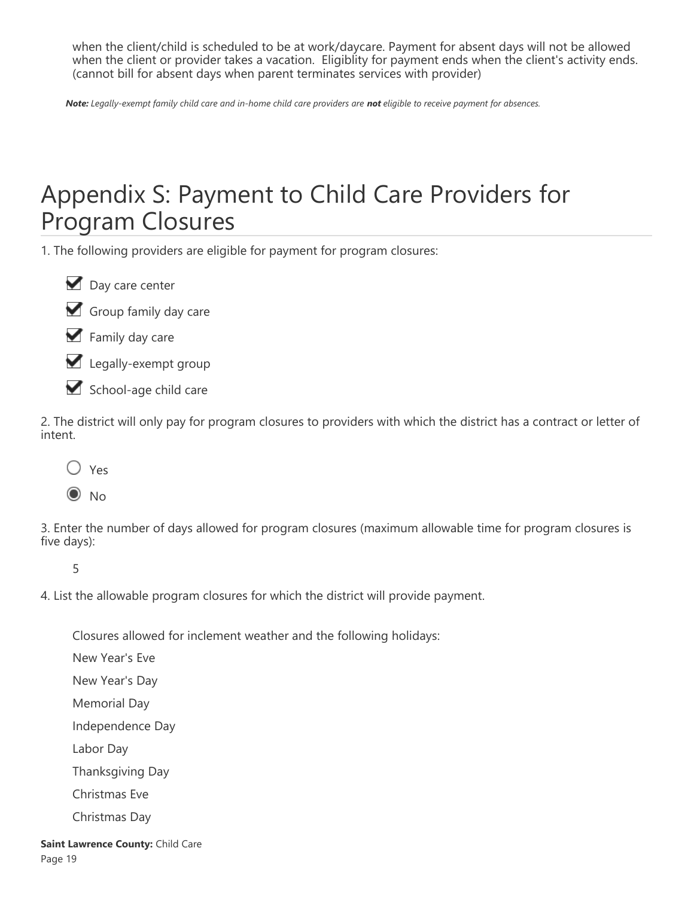when the client/child is scheduled to be at work/daycare. Payment for absent days will not be allowed when the client or provider takes a vacation. Eligiblity for payment ends when the client's activity ends. (cannot bill for absent days when parent terminates services with provider)

*Note: Legally-exempt family child care and in-home child care providers are not eligible to receive payment for absences.*

# Appendix S: Payment to Child Care Providers for Program Closures

1. The following providers are eligible for payment for program closures:

Day care center

Group family day care

Family day care

Legally-exempt group

School-age child care

2. The district will only pay for program closures to providers with which the district has a contract or letter of intent.



3. Enter the number of days allowed for program closures (maximum allowable time for program closures is five days):

5

4. List the allowable program closures for which the district will provide payment.

Closures allowed for inclement weather and the following holidays:

New Year's Eve New Year's Day Memorial Day Independence Day Labor Day Thanksgiving Day Christmas Eve Christmas Day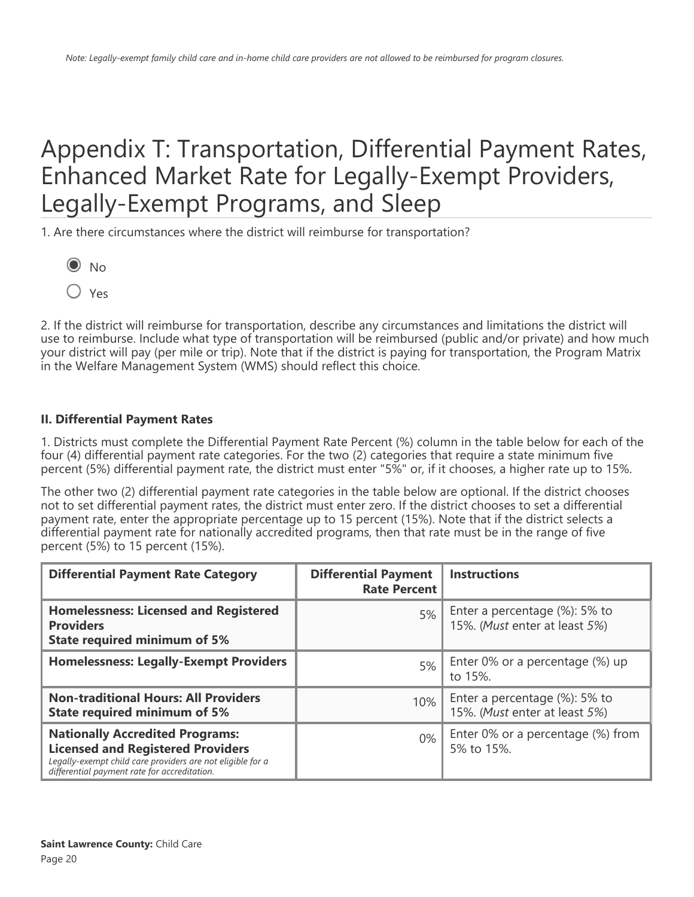# Appendix T: Transportation, Differential Payment Rates, Enhanced Market Rate for Legally-Exempt Providers, Legally-Exempt Programs, and Sleep

1. Are there circumstances where the district will reimburse for transportation?



Yes

2. If the district will reimburse for transportation, describe any circumstances and limitations the district will use to reimburse. Include what type of transportation will be reimbursed (public and/or private) and how much your district will pay (per mile or trip). Note that if the district is paying for transportation, the Program Matrix in the Welfare Management System (WMS) should reflect this choice.

### **II. Differential Payment Rates**

1. Districts must complete the Differential Payment Rate Percent (%) column in the table below for each of the four (4) differential payment rate categories. For the two (2) categories that require a state minimum five percent (5%) differential payment rate, the district must enter "5%" or, if it chooses, a higher rate up to 15%.

The other two (2) differential payment rate categories in the table below are optional. If the district chooses not to set differential payment rates, the district must enter zero. If the district chooses to set a differential payment rate, enter the appropriate percentage up to 15 percent (15%). Note that if the district selects a differential payment rate for nationally accredited programs, then that rate must be in the range of five percent (5%) to 15 percent (15%).

| <b>Differential Payment Rate Category</b>                                                                                                                                                        | <b>Differential Payment</b><br><b>Rate Percent</b> | <b>Instructions</b>                                                |
|--------------------------------------------------------------------------------------------------------------------------------------------------------------------------------------------------|----------------------------------------------------|--------------------------------------------------------------------|
| <b>Homelessness: Licensed and Registered</b><br><b>Providers</b><br><b>State required minimum of 5%</b>                                                                                          | 5%                                                 | Enter a percentage (%): 5% to<br>15%. (Must enter at least 5%)     |
| <b>Homelessness: Legally-Exempt Providers</b>                                                                                                                                                    | 5%                                                 | Enter 0% or a percentage (%) up<br>to 15%.                         |
| <b>Non-traditional Hours: All Providers</b><br><b>State required minimum of 5%</b>                                                                                                               | 10%                                                | Enter a percentage $(\%)$ : 5% to<br>15%. (Must enter at least 5%) |
| <b>Nationally Accredited Programs:</b><br><b>Licensed and Registered Providers</b><br>Legally-exempt child care providers are not eligible for a<br>differential payment rate for accreditation. | $0\%$                                              | Enter 0% or a percentage (%) from<br>5% to 15%.                    |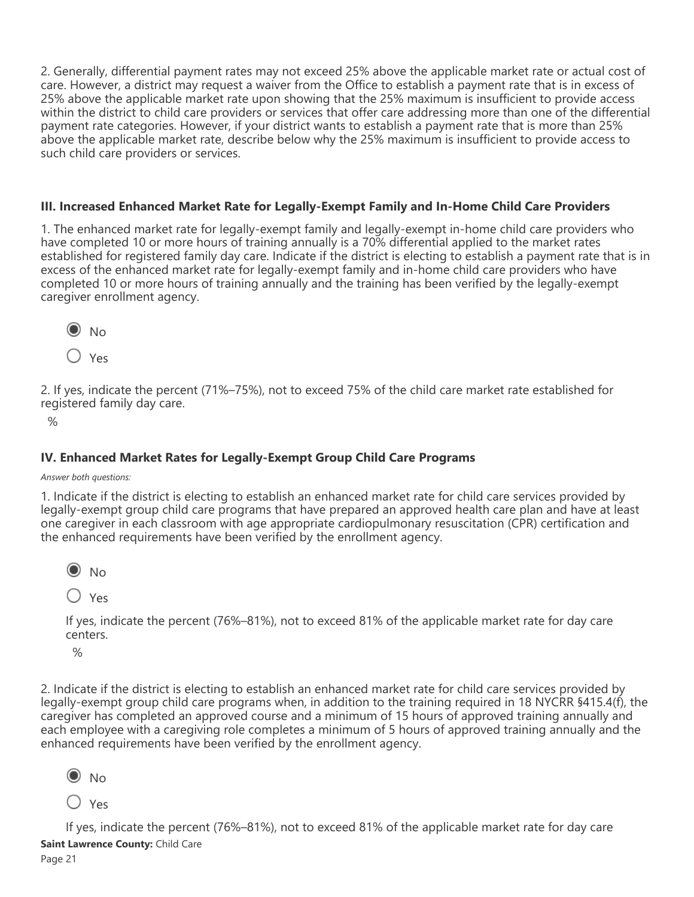2. Generally, differential payment rates may not exceed 25% above the applicable market rate or actual cost of care. However, a district may request a waiver from the Office to establish a payment rate that is in excess of 25% above the applicable market rate upon showing that the 25% maximum is insufficient to provide access within the district to child care providers or services that offer care addressing more than one of the differential payment rate categories. However, if your district wants to establish a payment rate that is more than 25% above the applicable market rate, describe below why the 25% maximum is insufficient to provide access to such child care providers or services.

### **III. Increased Enhanced Market Rate for Legally-Exempt Family and In-Home Child Care Providers**

1. The enhanced market rate for legally-exempt family and legally-exempt in-home child care providers who have completed 10 or more hours of training annually is a 70% differential applied to the market rates established for registered family day care. Indicate if the district is electing to establish a payment rate that is in excess of the enhanced market rate for legally-exempt family and in-home child care providers who have completed 10 or more hours of training annually and the training has been verified by the legally-exempt caregiver enrollment agency.



2. If yes, indicate the percent (71%–75%), not to exceed 75% of the child care market rate established for registered family day care.

 $\frac{1}{2}$ 

### **IV. Enhanced Market Rates for Legally-Exempt Group Child Care Programs**

#### *Answer both questions:*

1. Indicate if the district is electing to establish an enhanced market rate for child care services provided by legally-exempt group child care programs that have prepared an approved health care plan and have at least one caregiver in each classroom with age appropriate cardiopulmonary resuscitation (CPR) certification and the enhanced requirements have been verified by the enrollment agency.



Yes

If yes, indicate the percent (76%–81%), not to exceed 81% of the applicable market rate for day care centers.

 $\frac{1}{2}$ 

2. Indicate if the district is electing to establish an enhanced market rate for child care services provided by legally-exempt group child care programs when, in addition to the training required in 18 NYCRR §415.4(f), the caregiver has completed an approved course and a minimum of 15 hours of approved training annually and each employee with a caregiving role completes a minimum of 5 hours of approved training annually and the enhanced requirements have been verified by the enrollment agency.



Yes

If yes, indicate the percent (76%–81%), not to exceed 81% of the applicable market rate for day care **Saint Lawrence County:** Child Care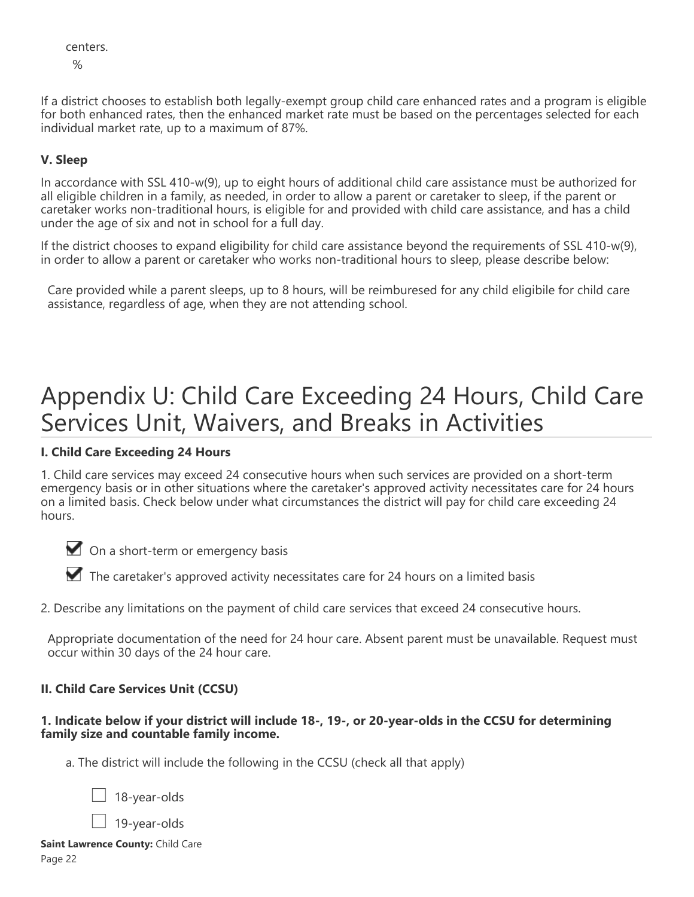centers.  $\frac{1}{2}$ 

If a district chooses to establish both legally-exempt group child care enhanced rates and a program is eligible for both enhanced rates, then the enhanced market rate must be based on the percentages selected for each individual market rate, up to a maximum of 87%.

### **V. Sleep**

In accordance with SSL 410-w(9), up to eight hours of additional child care assistance must be authorized for all eligible children in a family, as needed, in order to allow a parent or caretaker to sleep, if the parent or caretaker works non-traditional hours, is eligible for and provided with child care assistance, and has a child under the age of six and not in school for a full day.

If the district chooses to expand eligibility for child care assistance beyond the requirements of SSL 410-w(9), in order to allow a parent or caretaker who works non-traditional hours to sleep, please describe below:

Care provided while a parent sleeps, up to 8 hours, will be reimburesed for any child eligibile for child care assistance, regardless of age, when they are not attending school.

# Appendix U: Child Care Exceeding 24 Hours, Child Care Services Unit, Waivers, and Breaks in Activities

### **I. Child Care Exceeding 24 Hours**

1. Child care services may exceed 24 consecutive hours when such services are provided on a short-term emergency basis or in other situations where the caretaker's approved activity necessitates care for 24 hours on a limited basis. Check below under what circumstances the district will pay for child care exceeding 24 hours.

On a short-term or emergency basis

The caretaker's approved activity necessitates care for 24 hours on a limited basis

2. Describe any limitations on the payment of child care services that exceed 24 consecutive hours.

Appropriate documentation of the need for 24 hour care. Absent parent must be unavailable. Request must occur within 30 days of the 24 hour care.

### **II. Child Care Services Unit (CCSU)**

### **1. Indicate below if your district will include 18-, 19-, or 20-year-olds in the CCSU for determining family size and countable family income.**

a. The district will include the following in the CCSU (check all that apply)

18-year-olds

19-year-olds